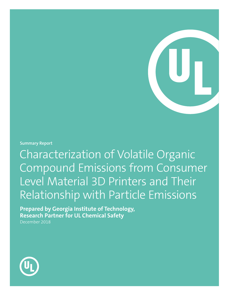**Summary Report**

Characterization of Volatile Organic Compound Emissions from Consumer Level Material 3D Printers and Their Relationship with Particle Emissions

**Prepared by Georgia Institute of Technology, Research Partner for UL Chemical Safety** December 2018

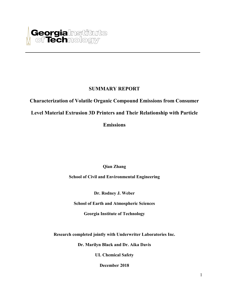

# **SUMMARY REPORT**

**Characterization of Volatile Organic Compound Emissions from Consumer** 

**Level Material Extrusion 3D Printers and Their Relationship with Particle** 

**Emissions**

**Qian Zhang**

**School of Civil and Environmental Engineering**

**Dr. Rodney J. Weber** 

**School of Earth and Atmospheric Sciences**

**Georgia Institute of Technology** 

**Research completed jointly with Underwriter Laboratories Inc.**

**Dr. Marilyn Black and Dr. Aika Davis** 

**UL Chemical Safety**

**December 2018**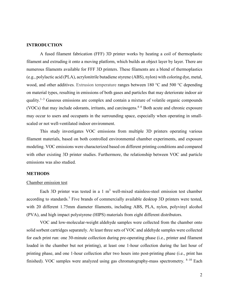## **INTRODUCTION**

A fused filament fabrication (FFF) 3D printer works by heating a coil of thermoplastic filament and extruding it onto a moving platform, which builds an object layer by layer. There are numerous filaments available for FFF 3D printers. These filaments are a blend of thermoplastics (e.g., polylactic acid (PLA), acrylonitrile butadiene styrene (ABS), nylon) with coloring dye, metal, wood, and other additives. Extrusion temperature ranges between 180 °C and 500 °C depending on material types, resulting in emissions of both gases and particles that may deteriorate indoor air quality.<sup>1-3</sup> Gaseous emissions are complex and contain a mixture of volatile organic compounds (VOCs) that may include odorants, irritants, and carcinogens.<sup> $4-6$ </sup> Both acute and chronic exposure may occur to users and occupants in the surrounding space, especially when operating in smallscaled or not well-ventilated indoor environment.

This study investigates VOC emissions from multiple 3D printers operating various filament materials, based on both controlled environmental chamber experiments, and exposure modeling. VOC emissions were characterized based on different printing conditions and compared with other existing 3D printer studies. Furthermore, the relationship between VOC and particle emissions was also studied.

### **METHODS**

#### Chamber emission test

Each 3D printer was tested in a  $1 \text{ m}^3$  well-mixed stainless-steel emission test chamber according to standards.<sup>7</sup> Five brands of commercially available desktop 3D printers were tested, with 20 different 1.75mm diameter filaments, including ABS, PLA, nylon, polyvinyl alcohol (PVA), and high impact polystyrene (HIPS) materials from eight different distributors.

VOC and low-molecular-weight aldehyde samples were collected from the chamber onto solid sorbent cartridges separately. At least three sets of VOC and aldehyde samples were collected for each print run: one 30-minute collection during pre-operating phase (i.e., printer and filament loaded in the chamber but not printing), at least one 1-hour collection during the last hour of printing phase, and one 1-hour collection after two hours into post-printing phase (i.e., print has finished). VOC samples were analyzed using gas chromatography-mass spectrometry. <sup>8-10</sup> Each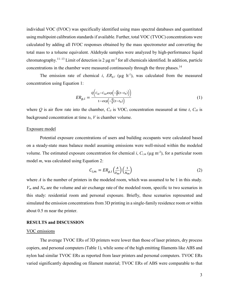individual VOC (IVOC) was specifically identified using mass spectral databases and quantitated using multipoint calibration standards if available. Further, total VOC (TVOC) concentrations were calculated by adding all IVOC responses obtained by the mass spectrometer and converting the total mass to a toluene equivalent. Aldehyde samples were analyzed by high-performance liquid chromatography.<sup>11–13</sup> Limit of detection is 2  $\mu$ g m<sup>-3</sup> for all chemicals identified. In addition, particle concentrations in the chamber were measured continuously through the three phases.<sup>14</sup>

The emission rate of chemical *i*,  $ER_{g,i}$  ( $\mu$ g h<sup>-1</sup>), was calculated from the measured concentration using Equation 1:

$$
ER_{g,i} = \frac{o\left(c_{it} - c_{io}exp\left(-\frac{Q}{V}(t - t_0)\right)\right)}{1 - exp\left(-\frac{Q}{V}(t - t_0)\right)}
$$
(1)

where  $Q$  is air flow rate into the chamber,  $C_{it}$  is VOC<sub>*i*</sub> concentration measured at time *t*,  $C_{i0}$  is background concentration at time *t0*, *V* is chamber volume.

## Exposure model

Potential exposure concentrations of users and building occupants were calculated based on a steady-state mass balance model assuming emissions were well-mixed within the modeled volume. The estimated exposure concentration for chemical  $i$ ,  $C_{i,m}$  ( $\mu$ g m<sup>-3</sup>), for a particular room model *m*, was calculated using Equation 2:

$$
C_{i,m} = ER_{g,i}\left(\frac{A}{V_m}\right)\left(\frac{1}{N_m}\right) \tag{2}
$$

where *A* is the number of printers in the modeled room, which was assumed to be 1 in this study. *Vm* and *Nm* are the volume and air exchange rate of the modeled room, specific to two scenarios in this study: residential room and personal exposure. Briefly, these scenarios represented and simulated the emission concentrations from 3D printing in a single-family residence room or within about 0.5 m near the printer.

## **RESULTS and DISCUSSION**

#### VOC emissions

The average TVOC ERs of 3D printers were lower than those of laser printers, dry process copiers, and personal computers (Table 1), while some of the high emitting filaments like ABS and nylon had similar TVOC ERs as reported from laser printers and personal computers. TVOC ERs varied significantly depending on filament material; TVOC ERs of ABS were comparable to that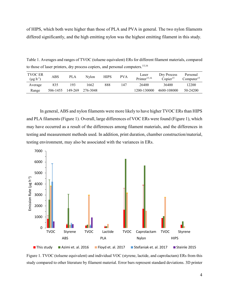of HIPS, which both were higher than those of PLA and PVA in general. The two nylon filaments differed significantly, and the high emitting nylon was the highest emitting filament in this study.

Table 1. Averages and ranges of TVOC (toluene equivalent) ERs for different filament materials, compared to those of laser printers, dry process copiers, and personal computers. 15,16

| <b>TVOC ER</b><br>$(\mu g \, h^{-1})$ | ABS      | PLA     | Nvlon    | <b>HIPS</b> | <b>PVA</b> | Laser<br>Printer $15,16$ | Dry Process<br>Conier <sup>15</sup> | Personal<br>Computer <sup>15</sup> |
|---------------------------------------|----------|---------|----------|-------------|------------|--------------------------|-------------------------------------|------------------------------------|
| Average                               | 835      | 193     | -662     | 888         | 147        | 26400                    | 36400                               | 12200                              |
| Range                                 | 506-1455 | 149-269 | 276-3048 |             |            | 1200-130000              | 4600-108000                         | 50-24200                           |

In general, ABS and nylon filaments were more likely to have higher TVOC ERs than HIPS and PLA filaments (Figure 1). Overall, large differences of VOC ERs were found (Figure 1), which may have occurred as a result of the differences among filament materials, and the differences in testing and measurement methods used. In addition, print duration, chamber construction/material, testing environment, may also be associated with the variances in ERs.



Figure 1. TVOC (toluene equivalent) and individual VOC (styrene, lactide, and caprolactam) ERs from this study compared to other literature by filament material. Error bars represent standard deviations. 3D printer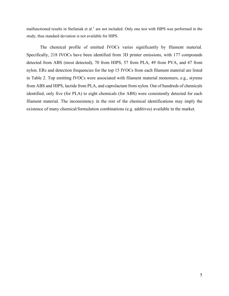malfunctioned results in Stefaniak et al.*<sup>5</sup>* are not included. Only one test with HIPS was performed in the study, thus standard deviation is not available for HIPS.

The chemical profile of emitted IVOCs varies significantly by filament material. Specifically, 218 IVOCs have been identified from 3D printer emissions, with 177 compounds detected from ABS (most detected), 70 from HIPS, 57 from PLA, 49 from PVA, and 47 from nylon. ERs and detection frequencies for the top 15 IVOCs from each filament material are listed in Table 2. Top emitting IVOCs were associated with filament material monomers, e.g., styrene from ABS and HIPS, lactide from PLA, and caprolactam from nylon. Out of hundreds of chemicals identified, only five (for PLA) to eight chemicals (for ABS) were consistently detected for each filament material. The inconsistency in the rest of the chemical identifications may imply the existence of many chemical/formulation combinations (e.g. additives) available in the market.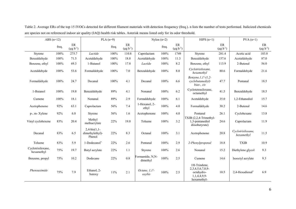| ABS $(n=12)$                    |       | $PLA(n=9)$                |                                             |       | Nylon $(n=2)$             |                             |         | $HIPS(n=1)$                  |                                                                               | $PVA(n=1)$               |                                 |                              |
|---------------------------------|-------|---------------------------|---------------------------------------------|-------|---------------------------|-----------------------------|---------|------------------------------|-------------------------------------------------------------------------------|--------------------------|---------------------------------|------------------------------|
|                                 | freq. | ER<br>$(\mu g \, h^{-1})$ |                                             | freq. | ER<br>$(\mu g \, h^{-1})$ |                             | freq.   | $\rm ER$<br>$(\mu g h^{-1})$ |                                                                               | ER<br>$(\mu g \ h^{-1})$ |                                 | $\rm ER$<br>$(\mu g h^{-1})$ |
| Styrene                         | 100%  | 275.7                     | Lactide                                     | 100%  | 110.8                     | Caprolactam                 | 100%    | 1749                         | Styrene                                                                       | 281.4                    | Acetic acid                     | 183.8                        |
| Benzaldehyde                    | 100%  | 71.5                      | Acetaldehyde                                | 100%  | 18.8                      | Acetaldehyde                | 100%    | 11.3                         | Benzaldehyde                                                                  | 157.6                    | Acetaldehyde                    | 87.0                         |
| Benzene, ethyl                  | 100%  | 69.3                      | 1-Butanol                                   | 100%  | 17.8                      | Lactide                     | 100%    | 8.2                          | Benzene, ethyl                                                                | 113.9                    | 2-Butenal                       | 56.0                         |
| Acetaldehyde                    | 100%  | 53.6                      | Formaldehyde                                | 100%  | 7.0                       | Benzaldehyde                | 100%    | 8.0                          | Cyclotrisiloxane,<br>hexamethyl                                               | 80.6                     | Formaldehyde                    | 21.6                         |
| Formaldehyde                    | 100%  | 24.7                      | Decanal                                     | 100%  | 4.1                       | Decanal                     | $100\%$ | 6.6                          | Benzene, 1, 1'-(1, 2-<br>cyclobutanediyl)<br>bias-, cis                       | 47.7                     | Pentanal                        | 18.5                         |
| 1-Butanol                       | 100%  | 19.8                      | Benzaldehyde                                | 89%   | 4.1                       | Nonanal                     | $100\%$ | 6.2                          | Cyclotetrasiloxane,<br>octamethyl                                             | 41.5                     | Benzaldehyde                    | 18.5                         |
| Cumene                          | 100%  | 18.1                      | Nonanal                                     | 89%   | 2.9                       | Formaldehyde                | 100%    | 6.1                          | Acetaldehyde                                                                  | 35.0                     | 1,2-Ethanediol                  | 15.7                         |
| Acetophenone                    | 92%   | 63.1                      | Caprolactam                                 | 56%   | 7.4                       | 1-Hexanol, 2-<br>ethyl      | 100%    | 4.0                          | Formaldehyde                                                                  | 30.2                     | 2-Butenal                       | 14.6                         |
| p-, m- Xylene                   | 92%   | 6.8                       | Styrene                                     | 56%   | 1.6                       | Acetophenone                | 100%    | 4.0                          | Pentanal                                                                      | 26.1                     | Cyclohexane                     | 13.8                         |
| Vinyl cyclohexene               | 83%   | 20.4                      | Methyl<br>methacrylate                      | 22%   | 19.8                      | Toluene                     | 100%    | 3.2                          | TXIB (2,2,4-Trimethyl-<br>1,3-pentanediol<br>diisobutyrate)                   | 24.6                     | Caprolactam                     | 11.9                         |
| Decanal                         | 83%   | 6.5                       | $2,4-bis(1,1-$<br>dimethylethyl)-<br>Phenol | 22%   | 8.3                       | Octanal                     | 100%    | 3.1                          | Acetophenone                                                                  | 20.8                     | Cyclotrisiloxane,<br>hexamethyl | 11.5                         |
| Toluene                         | 83%   | 5.9                       | 1-Dodecanol*                                | 22%   | 2.6                       | Pentanal                    | 100%    | 2.9                          | 2-Phenylpropenal                                                              | 18.8                     | <b>TXIB</b>                     | 10.9                         |
| Cyclotrisiloxane,<br>hexamethyl | 75%   | 19.7                      | Butyl acrylate                              | 22%   | 1.1                       | Styrene                     | 100%    | 2.6                          | Nonanal                                                                       | 15.2                     | Diethylene glycol               | 9.3                          |
| Benzene, propyl                 | 75%   | 10.2                      | Dodecane                                    | 22%   | 0.8                       | Formamide, N,N-<br>dimethyl | 100%    | 2.5                          | Cumene                                                                        | 14.6                     | Isooctyl acrylate               | 9.3                          |
| Phensuximide                    | 75%   | 7.9                       | Ethanol, 2-<br>butoxy                       | 11%   | 2.1                       | Octane, $1,1'$ -<br>oxybis  | 100%    | 2.5                          | 1H-Trindene,<br>2,3,4,5,6,7,8,9-<br>octahydro-<br>1,1,4,4,9,9-<br>hexamethyl- | 10.5                     | 2,4-Hexadienal*                 | 6.9                          |

Table 2. Average ERs of the top 15 IVOCs detected for different filament materials with detection frequency (freq.). n lists the number of tests performed. Italicized chemicals are species not on referenced indoor air quality (IAQ) health risk tables. Asterisk means listed only for its odor threshold.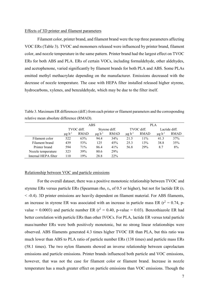## Effects of 3D printer and filament parameters

Filament color, printer brand, and filament brand were the top three parameters affecting VOC ERs (Table 3). TVOC and monomers released were influenced by printer brand, filament color, and nozzle temperature in the same pattern. Printer brand had the largest effect on TVOC ERs for both ABS and PLA. ERs of certain VOCs, including formaldehyde, other aldehydes, and acetophenone, varied significantly by filament brands for both PLA and ABS. Some PLAs emitted methyl methacrylate depending on the manufacturer. Emissions decreased with the decrease of nozzle temperature. The case with HEPA filter installed released higher styrene, hydrocarbons, xylenes, and benzaldehyde, which may be due to the filter itself.

Table 3. Maximum ER differences (diff.) from each printer or filament parameters and the corresponding relative mean absolute difference (RMAD).

|                      | ABS                     |             |                         |             | <b>PLA</b>              |             |                         |             |  |  |
|----------------------|-------------------------|-------------|-------------------------|-------------|-------------------------|-------------|-------------------------|-------------|--|--|
|                      | TVOC diff.              |             | Styrene diff.           |             | TVOC diff.              |             | Lactide diff.           |             |  |  |
|                      | $\mu$ g h <sup>-1</sup> | <b>RMAD</b> | $\mu$ g h <sup>-1</sup> | <b>RMAD</b> | $\mu$ g h <sup>-1</sup> | <b>RMAD</b> | $\mu$ g h <sup>-1</sup> | <b>RMAD</b> |  |  |
| Filament color       | 522                     | 63%         | 94.4                    | 34%         | 21.5                    | 11%         | 41.3                    | 37%         |  |  |
| Filament brand       | 439                     | 53%         | 125                     | 45%         | 25.3                    | 13%         | 38.8                    | 35%         |  |  |
| Printer brand        | 594                     | 71%         | 86.4                    | 41%         | 56.8                    | 29%         | 8.7                     | 8%          |  |  |
| Nozzle temperature   | 323                     | 39%         | 80.6                    | 29%         |                         |             |                         |             |  |  |
| Internal HEPA filter | 110                     | 19%         | 28.8                    | 22%         |                         |             |                         |             |  |  |

#### Relationship between VOC and particle emissions

For the overall dataset, there was a positive monotonic relationship between TVOC and styrene ERs versus particle ERs (Spearman rho,  $r_s$ , of 0.5 or higher), but not for lactide ER ( $r_s$ < -0.4). 3D printer emissions are heavily dependent on filament material. For ABS filaments, an increase in styrene ER was associated with an increase in particle mass ER ( $r^2 = 0.74$ , pvalue = 0.0003) and particle number ER ( $r^2$  = 0.40, p-value = 0.03). Benzothiazole ER had better correlation with particle ERs than other IVOCs. For PLA, lactide ER versus total particle mass/number ERs were both positively monotonic, but no strong linear relationships were observed. ABS filaments generated 4.3 times higher TVOC ER than PLA, but this ratio was much lower than ABS to PLA ratio of particle number ERs (138 times) and particle mass ERs (58.1 times). The two nylon filaments showed an inverse relationship between caprolactam emissions and particle emissions. Printer brands influenced both particle and VOC emissions, however, that was not the case for filament color or filament brand. Increase in nozzle temperature has a much greater effect on particle emissions than VOC emissions. Though the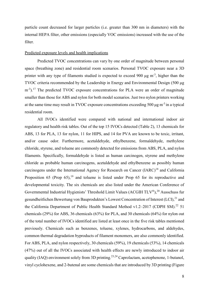particle count decreased for larger particles (i.e. greater than 300 nm in diameters) with the internal HEPA filter, other emissions (especially VOC emissions) increased with the use of the filter.

# Predicted exposure levels and health implications

Predicted TVOC concentrations can vary by one order of magnitude between personal space (breathing zone) and residential room scenarios. Personal TVOC exposure near a 3D printer with any type of filaments studied is expected to exceed 900  $\mu$ g m<sup>-3</sup>, higher than the TVOC criteria recommended by the Leadership in Energy and Environmental Design (500 μg m<sup>-3</sup>).<sup>17</sup> The predicted TVOC exposure concentrations for PLA were an order of magnitude smaller than those for ABS and nylon for both model scenarios. Just two nylon printers working at the same time may result in TVOC exposure concentrations exceeding 500  $\mu$ g m<sup>-3</sup> in a typical residential room.

All IVOCs identified were compared with national and international indoor air regulatory and health risk tables. Out of the top 15 IVOCs detected (Table 2), 13 chemicals for ABS, 13 for PLA, 13 for nylon, 11 for HIPS, and 14 for PVA are known to be toxic, irritant, and/or cause odor. Furthermore, acetaldehyde, ethylbenzene, formaldehyde, methylene chloride, styrene, and toluene are commonly detected for emissions from ABS, PLA, and nylon filaments. Specifically, formaldehyde is listed as human carcinogen, styrene and methylene chloride as probable human carcinogens, acetaldehyde and ethylbenzene as possibly human carcinogens under the International Agency for Research on Cancer (IARC)<sup>18</sup> and California Proposition 65 (Prop 65),<sup>19</sup> and toluene is listed under Prop 65 for its reproductive and developmental toxicity. The six chemicals are also listed under the American Conference of Governmental Industrial Hygienists' Threshold Limit Values (ACGIH TLV®), <sup>20</sup> Ausschuss fur gesundheitlichen Bewertung von Bauprodukten's Lowest Concentration of Interest (LCI),<sup>21</sup> and the California Department of Public Health Standard Method v1.2-2017 (CDPH SM).<sup>22</sup> 51 chemicals (29%) for ABS, 36 chemicals (63%) for PLA, and 30 chemicals (64%) for nylon out of the total number of IVOCs identified are listed at least once in the five risk tables mentioned previously. Chemicals such as benzenes, toluene, xylenes, hydrocarbons, and aldehydes, common thermal degradation byproducts of filament monomers, are also commonly identified. For ABS, PLA, and nylon respectively, 30 chemicals (59%), 19 chemicals (53%), 14 chemicals (47%) out of all the IVOCs associated with health effects are newly introduced to indoor air quality (IAQ) environment solely from 3D printing.<sup>23,24</sup> Caprolactam, acetophenone, 1-butanol, vinyl cyclohexene, and 2-butenal are some chemicals that are introduced by 3D printing (Figure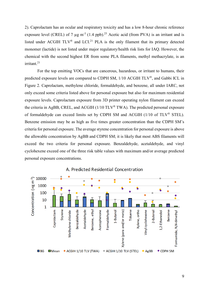2). Caprolactam has an ocular and respiratory toxicity and has a low 8-hour chronic reference exposure level (CREL) of 7  $\mu$ g m<sup>-3</sup> (1.4 ppb).<sup>25</sup> Acetic acid (from PVA) is an irritant and is listed under ACGIH  $TLV^{\circledast}$  and  $LCI^{21}$  PLA is the only filament that its primary detected monomer (lactide) is not listed under major regulatory/health risk lists for IAQ. However, the chemical with the second highest ER from some PLA filaments, methyl methacrylate, is an irritant. 21

For the top emitting VOCs that are cancerous, hazardous, or irritant to humans, their predicted exposure levels are compared to CDPH SM, 1/10 ACGIH TLV®, and Gabbi ICL in Figure 2. Caprolactam, methylene chloride, formaldehyde, and benzene, all under IARC, not only exceed some criteria listed above for personal exposure but also for maximum residential exposure levels. Caprolactam exposure from 3D printer operating nylon filament can exceed the criteria in AgBB, CREL, and ACGIH (1/10 TLV® TWA). The predicted personal exposure of formaldehyde can exceed limits set by CDPH SM and ACGIH (1/10 of TLV® STEL). Benzene emission may be as high as five times greater concentration than the CDPH SM's criteria for personal exposure. The average styrene concentration for personal exposure is above the allowable concentration by AgBB and CDPH SM; it is likely that most ABS filaments will exceed the two criteria for personal exposure. Benzaldehyde, acetaldehyde, and vinyl cyclohexene exceed one of the three risk table values with maximum and/or average predicted personal exposure concentrations.



## A. Predicted Residential Concentration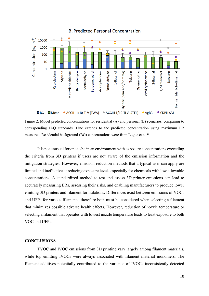

**B. Predicted Personal Concentration** 



It is not unusual for one to be in an environment with exposure concentrations exceeding the criteria from 3D printers if users are not aware of the emission information and the mitigation strategies. However, emission reduction methods that a typical user can apply are limited and ineffective at reducing exposure levels especially for chemicals with low allowable concentrations. A standardized method to test and assess 3D printer emissions can lead to accurately measuring ERs, assessing their risks, and enabling manufacturers to produce lower emitting 3D printers and filament formulations. Differences exist between emissions of VOCs and UFPs for various filaments, therefore both must be considered when selecting a filament that minimizes possible adverse health effects. However, reduction of nozzle temperature or selecting a filament that operates with lowest nozzle temperature leads to least exposure to both VOC and UFPs.

# **CONCLUSIONS**

TVOC and IVOC emissions from 3D printing vary largely among filament materials, while top emitting IVOCs were always associated with filament material monomers. The filament additives potentially contributed to the variance of IVOCs inconsistently detected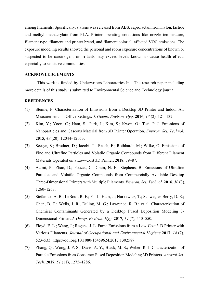among filaments. Specifically, styrene was released from ABS, caprolactam from nylon, lactide and methyl methacrylate from PLA. Printer operating conditions like nozzle temperature, filament type, filament and printer brand, and filament color all affected VOC emissions. The exposure modeling results showed the personal and room exposure concentrations of known or suspected to be carcinogens or irritants may exceed levels known to cause health effects especially to sensitive communities.

## **ACKNOWLEDGEMENTS**

This work is funded by Underwriters Laboratories Inc. The research paper including more details of this study is submitted to Environmental Science and Technology journal.

#### **REFERENCES**

- (1) Steinle, P. Characterization of Emissions from a Desktop 3D Printer and Indoor Air Measurements in Office Settings. *J. Occup. Environ. Hyg.* **2016**, *13* (2), 121–132.
- (2) Kim, Y.; Yoon, C.; Ham, S.; Park, J.; Kim, S.; Kwon, O.; Tsai, P.-J. Emissions of Nanoparticles and Gaseous Material from 3D Printer Operation. *Environ. Sci. Technol.* **2015**, *49* (20), 12044–12053.
- (3) Seeger, S.; Brodner, D.; Jacobi, T.; Rasch, F.; Rothhardt, M.; Wilke, O. Emissions of Fine and Ultrafine Particles and Volatile Organic Compounds from Different Filament Materials Operated on a Low-Cost 3D Printer. **2018**, 79–87.
- (4) Azimi, P.; Zhao, D.; Pouzet, C.; Crain, N. E.; Stephens, B. Emissions of Ultrafine Particles and Volatile Organic Compounds from Commercially Available Desktop Three-Dimensional Printers with Multiple Filaments. *Environ. Sci. Technol.* **2016**, *50* (3), 1260–1268.
- (5) Stefaniak, A. B.; LeBouf, R. F.; Yi, J.; Ham, J.; Nurkewicz, T.; Schwegler-Berry, D. E.; Chen, B. T.; Wells, J. R.; Duling, M. G.; Lawrence, R. B.; et al. Characterization of Chemical Contaminants Generated by a Desktop Fused Deposition Modeling 3- Dimensional Printer. *J. Occup. Environ. Hyg.* **2017**, *14* (7), 540–550.
- (6) Floyd, E. L.; Wang, J.; Regens, J. L. Fume Emissions from a Low-Cost 3-D Printer with Various Filaments. *Journal of Occupational and Environmental Hygiene* **2017**, *14* (7), 523–533. https://doi.org/10.1080/15459624.2017.1302587.
- (7) Zhang, Q.; Wong, J. P. S.; Davis, A. Y.; Black, M. S.; Weber, R. J. Characterization of Particle Emissions from Consumer Fused Deposition Modeling 3D Printers. *Aerosol Sci. Tech.* **2017**, *51* (11), 1275–1286.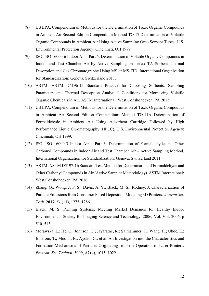- (8) US EPA. Compendium of Methods for the Determination of Toxic Organic Compounds in Ambient Air Second Edition Compendium Method TO-17 Determination of Volatile Organic Compounds in Ambient Air Using Active Sampling Onto Sorbent Tubes. U.S. Environmental Protection Agency: Cincinnati, OH 1999.
- (9) ISO. ISO 16000-6 Indoor Air Part 6: Determination of Volatile Organic Compounds in Indoor and Test Chamber Air by Active Sampling on Tenax TA Sorbent Thermal Desorption and Gas Chromatography Using MS or MS-FID. International Organization for Standardization: Geneva, Switzerland 2011.
- (10) ASTM. ASTM D6196-15 Standard Practice for Choosing Sorbents, Sampling Parameters and Thermal Desorption Analytical Conditions for Monitoring Volatile Organic Chemicals in Air. ASTM International: West Conshohocken, PA 2015.
- (11) US EPA. Compendium of Methods for the Determination of Toxic Organic Compounds in Ambient Air Second Edition Compendium Method TO-11A Determination of Formaldehyde in Ambient Air Using Adsorbent Cartridge Followed by High Performance Liquid Chromatography (HPLC). U.S. Environmental Protection Agency: Cincinnati, OH 1999.
- (12) ISO. ISO 16000-3 Indoor Air Part 3: Determination of Formaldehyde and Other Carbonyl Compounds in Indoor Air and Test Chamber Air – Active Sampling Method. International Organization for Standardization: Geneva, Switzerland 2011.
- (13) ASTM. ASTM D5197-16 Standard Test Method for Determination of Formaldehyde and Other Carbonyl Compounds in Air (Active Sampler Methodology). ASTM International: West Conshohocken, PA 2016.
- (14) Zhang, Q.; Wong, J. P. S.; Davis, A. Y.; Black, M. S.; Rodney, J. Characterization of Particle Emissions from Consumer Fused Deposition Modeling 3D Printers. *Aerosol Sci. Tech.* **2017**, *51* (11), 1275–1286.
- (15) Black, M. S. Printing Systems: Meeting Market Demands for Healthy Indoor Environments.; Society for Imaging Science and Technology, 2006; Vol. Vol. 2006, p 510–513.
- (16) Morawska, L.; He, C.; Johnson, G.; Jayaratne, R.; Salthammer, T.; Wang, H.; Uhde, E.; Bostrom, T.; Modini, R.; Ayoko, G.; et al. An Investigation into the Characteristics and Formation Mechanisms of Particles Originating from the Operation of Laser Printers. *Environ. Sci. Technol.* **2009**, *43* (4), 1015–1022.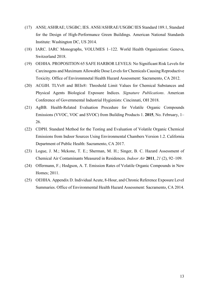- (17) ANSI; ASHRAE; USGBC; IES. ANSI/ASHRAE/USGBC/IES Standard 189.1, Standard for the Design of High-Performance Green Buildings. American National Standards Institute: Washington DC, US 2014.
- (18) IARC. IARC Monographs, VOLUMES 1–122. World Health Organization: Geneva, Switzerland 2018.
- (19) OEHHA. PROPOSITION 65 SAFE HARBOR LEVELS: No Significant Risk Levels for Carcinogens and Maximum Allowable Dose Levels for Chemicals Causing Reproductive Toxicity. Office of Environmnetal Health Hazard Assessment: Sacramento, CA 2012.
- (20) ACGIH. TLVs® and BEIs®: Threshold Limit Values for Chemical Substances and Physical Agents Biological Exposure Indices. *Signature Publications*. American Conference of Governmental Industrial Hygienists: Cincinnati, OH 2018.
- (21) AgBB. Health-Related Evaluation Procedure for Volatile Organic Compounds Emissions (VVOC, VOC and SVOC) from Building Products 1. **2015**, No. February, 1– 26.
- (22) CDPH. Standard Method for the Testing and Evaluation of Volatile Organic Chemical Emissions from Indoor Sources Using Environmental Chambers Version 1.2. California Department of Public Health: Sacramento, CA 2017.
- (23) Logue, J. M.; Mckone, T. E.; Sherman, M. H.; Singer, B. C. Hazard Assessment of Chemical Air Contaminants Measured in Residences. *Indoor Air* **2011**, *21* (2), 92–109.
- (24) Offermann, F.; Hodgson, A. T. Emission Rates of Volatile Organic Compounds in New Homes; 2011.
- (25) OEHHA. Appendix D. Individual Acute, 8-Hour, and Chronic Reference Exposure Level Summaries. Office of Environmental Health Hazard Assessment: Sacramento, CA 2014.